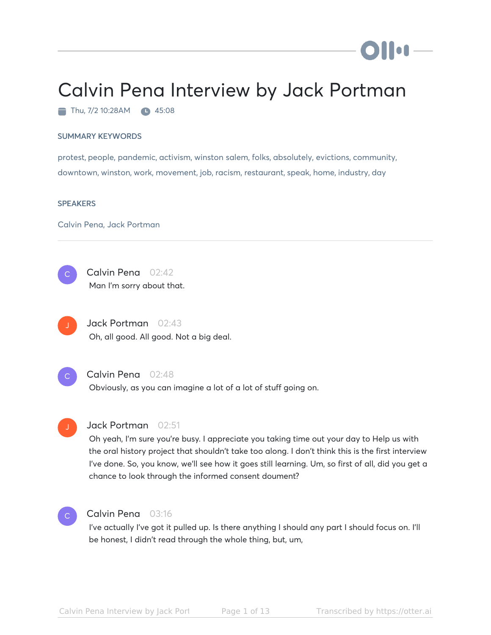# Calvin Pena Interview by Jack Portman

Thu, 7/2 10:28AM 45:08

#### SUMMARY KEYWORDS

protest, people, pandemic, activism, winston salem, folks, absolutely, evictions, community, downtown, winston, work, movement, job, racism, restaurant, speak, home, industry, day

#### **SPEAKERS**

Calvin Pena, Jack Portman



Jack Portman 02:43 Oh, all good. All good. Not a big deal.



#### Calvin Pena 02:48

Obviously, as you can imagine a lot of a lot of stuff going on.



#### Jack Portman 02:51

Oh yeah, I'm sure you're busy. I appreciate you taking time out your day to Help us with the oral history project that shouldn't take too along. I don't think this is the first interview I've done. So, you know, we'll see how it goes still learning. Um, so first of all, did you get a chance to look through the informed consent doument?



#### Calvin Pena 03:16

I've actually I've got it pulled up. Is there anything I should any part I should focus on. I'll be honest, I didn't read through the whole thing, but, um,

) II on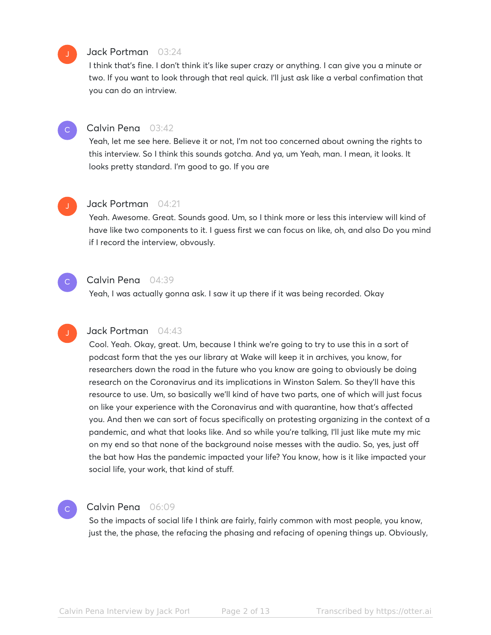#### Jack Portman 03:24

I think that's fine. I don't think it's like super crazy or anything. I can give you a minute or two. If you want to look through that real quick. I'll just ask like a verbal confimation that you can do an intrview.



## Calvin Pena 03:42

Yeah, let me see here. Believe it or not, I'm not too concerned about owning the rights to this interview. So I think this sounds gotcha. And ya, um Yeah, man. I mean, it looks. It looks pretty standard. I'm good to go. If you are

 $\mathsf{C}^+$ 

#### Jack Portman 04:21

Yeah. Awesome. Great. Sounds good. Um, so I think more or less this interview will kind of have like two components to it. I guess first we can focus on like, oh, and also Do you mind if I record the interview, obvously.

### Calvin Pena 04:39

Yeah, I was actually gonna ask. I saw it up there if it was being recorded. Okay

### Jack Portman 04:43

Cool. Yeah. Okay, great. Um, because I think we're going to try to use this in a sort of podcast form that the yes our library at Wake will keep it in archives, you know, for researchers down the road in the future who you know are going to obviously be doing research on the Coronavirus and its implications in Winston Salem. So they'll have this resource to use. Um, so basically we'll kind of have two parts, one of which will just focus on like your experience with the Coronavirus and with quarantine, how that's affected you. And then we can sort of focus specifically on protesting organizing in the context of a pandemic, and what that looks like. And so while you're talking, I'll just like mute my mic on my end so that none of the background noise messes with the audio. So, yes, just off the bat how Has the pandemic impacted your life? You know, how is it like impacted your social life, your work, that kind of stuff.

#### Calvin Pena 06:09  $\mathsf{C}_{\mathbb{C}}$

So the impacts of social life I think are fairly, fairly common with most people, you know, just the, the phase, the refacing the phasing and refacing of opening things up. Obviously,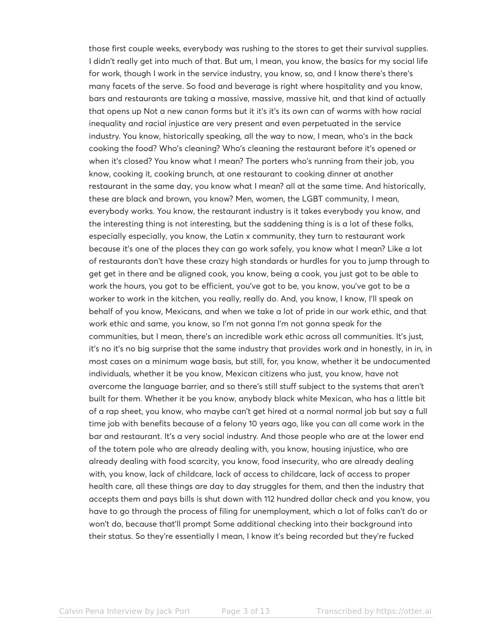those first couple weeks, everybody was rushing to the stores to get their survival supplies. I didn't really get into much of that. But um, I mean, you know, the basics for my social life for work, though I work in the service industry, you know, so, and I know there's there's many facets of the serve. So food and beverage is right where hospitality and you know, bars and restaurants are taking a massive, massive, massive hit, and that kind of actually that opens up Not a new canon forms but it it's it's its own can of worms with how racial inequality and racial injustice are very present and even perpetuated in the service industry. You know, historically speaking, all the way to now, I mean, who's in the back cooking the food? Who's cleaning? Who's cleaning the restaurant before it's opened or when it's closed? You know what I mean? The porters who's running from their job, you know, cooking it, cooking brunch, at one restaurant to cooking dinner at another restaurant in the same day, you know what I mean? all at the same time. And historically, these are black and brown, you know? Men, women, the LGBT community, I mean, everybody works. You know, the restaurant industry is it takes everybody you know, and the interesting thing is not interesting, but the saddening thing is is a lot of these folks, especially especially, you know, the Latin x community, they turn to restaurant work because it's one of the places they can go work safely, you know what I mean? Like a lot of restaurants don't have these crazy high standards or hurdles for you to jump through to get get in there and be aligned cook, you know, being a cook, you just got to be able to work the hours, you got to be efficient, you've got to be, you know, you've got to be a worker to work in the kitchen, you really, really do. And, you know, I know, I'll speak on behalf of you know, Mexicans, and when we take a lot of pride in our work ethic, and that work ethic and same, you know, so I'm not gonna I'm not gonna speak for the communities, but I mean, there's an incredible work ethic across all communities. It's just, it's no it's no big surprise that the same industry that provides work and in honestly, in in, in most cases on a minimum wage basis, but still, for, you know, whether it be undocumented individuals, whether it be you know, Mexican citizens who just, you know, have not overcome the language barrier, and so there's still stuff subject to the systems that aren't built for them. Whether it be you know, anybody black white Mexican, who has a little bit of a rap sheet, you know, who maybe can't get hired at a normal normal job but say a full time job with benefits because of a felony 10 years ago, like you can all come work in the bar and restaurant. It's a very social industry. And those people who are at the lower end of the totem pole who are already dealing with, you know, housing injustice, who are already dealing with food scarcity, you know, food insecurity, who are already dealing with, you know, lack of childcare, lack of access to childcare, lack of access to proper health care, all these things are day to day struggles for them, and then the industry that accepts them and pays bills is shut down with 112 hundred dollar check and you know, you have to go through the process of filing for unemployment, which a lot of folks can't do or won't do, because that'll prompt Some additional checking into their background into their status. So they're essentially I mean, I know it's being recorded but they're fucked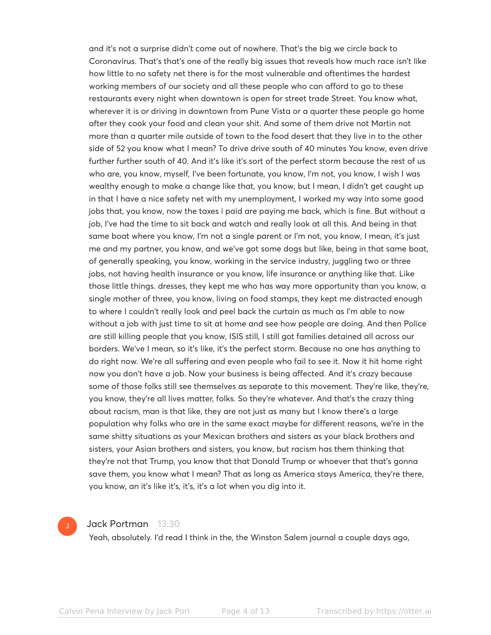and it's not a surprise didn't come out of nowhere. That's the big we circle back to Coronavirus. That's that's one of the really big issues that reveals how much race isn't like how little to no safety net there is for the most vulnerable and oftentimes the hardest working members of our society and all these people who can afford to go to these restaurants every night when downtown is open for street trade Street. You know what, wherever it is or driving in downtown from Pune Vista or a quarter these people go home after they cook your food and clean your shit. And some of them drive not Martin not more than a quarter mile outside of town to the food desert that they live in to the other side of 52 you know what I mean? To drive drive south of 40 minutes You know, even drive further further south of 40. And it's like it's sort of the perfect storm because the rest of us who are, you know, myself, I've been fortunate, you know, I'm not, you know, I wish I was wealthy enough to make a change like that, you know, but I mean, I didn't get caught up in that I have a nice safety net with my unemployment, I worked my way into some good jobs that, you know, now the taxes i paid are paying me back, which is fine. But without a job, I've had the time to sit back and watch and really look at all this. And being in that same boat where you know, I'm not a single parent or I'm not, you know, I mean, it's just me and my partner, you know, and we've got some dogs but like, being in that same boat, of generally speaking, you know, working in the service industry, juggling two or three jobs, not having health insurance or you know, life insurance or anything like that. Like those little things. dresses, they kept me who has way more opportunity than you know, a single mother of three, you know, living on food stamps, they kept me distracted enough to where I couldn't really look and peel back the curtain as much as I'm able to now without a job with just time to sit at home and see how people are doing. And then Police are still killing people that you know, ISIS still, I still got families detained all across our borders. We've I mean, so it's like, it's the perfect storm. Because no one has anything to do right now. We're all suffering and even people who fail to see it. Now it hit home right now you don't have a job. Now your business is being affected. And it's crazy because some of those folks still see themselves as separate to this movement. They're like, they're, you know, they're all lives matter, folks. So they're whatever. And that's the crazy thing about racism, man is that like, they are not just as many but I know there's a large population why folks who are in the same exact maybe for different reasons, we're in the same shitty situations as your Mexican brothers and sisters as your black brothers and sisters, your Asian brothers and sisters, you know, but racism has them thinking that they're not that Trump, you know that that Donald Trump or whoever that that's gonna save them, you know what I mean? That as long as America stays America, they're there, you know, an it's like it's, it's, it's a lot when you dig into it.



#### Jack Portman 13:30

Yeah, absolutely. I'd read I think in the, the Winston Salem journal a couple days ago,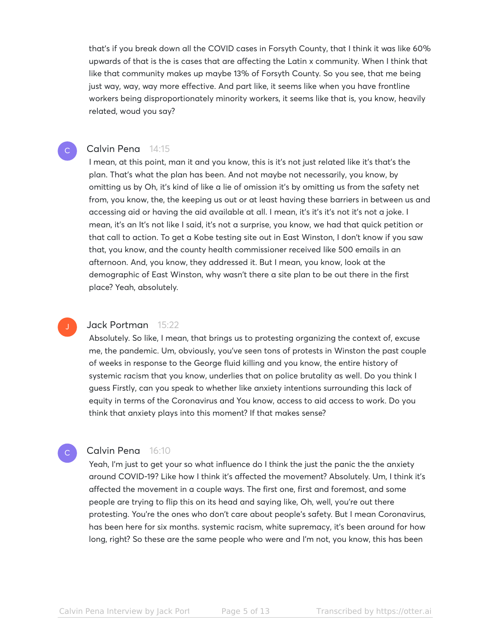that's if you break down all the COVID cases in Forsyth County, that I think it was like 60% upwards of that is the is cases that are affecting the Latin x community. When I think that like that community makes up maybe 13% of Forsyth County. So you see, that me being just way, way, way more effective. And part like, it seems like when you have frontline workers being disproportionately minority workers, it seems like that is, you know, heavily related, woud you say?

#### Calvin Pena 14:15

 $\mathsf{C}_{\mathbb{C}}$ 

I mean, at this point, man it and you know, this is it's not just related like it's that's the plan. That's what the plan has been. And not maybe not necessarily, you know, by omitting us by Oh, it's kind of like a lie of omission it's by omitting us from the safety net from, you know, the, the keeping us out or at least having these barriers in between us and accessing aid or having the aid available at all. I mean, it's it's it's not it's not a joke. I mean, it's an It's not like I said, it's not a surprise, you know, we had that quick petition or that call to action. To get a Kobe testing site out in East Winston, I don't know if you saw that, you know, and the county health commissioner received like 500 emails in an afternoon. And, you know, they addressed it. But I mean, you know, look at the demographic of East Winston, why wasn't there a site plan to be out there in the first place? Yeah, absolutely.

#### Jack Portman 15:22

Absolutely. So like, I mean, that brings us to protesting organizing the context of, excuse me, the pandemic. Um, obviously, you've seen tons of protests in Winston the past couple of weeks in response to the George fluid killing and you know, the entire history of systemic racism that you know, underlies that on police brutality as well. Do you think I guess Firstly, can you speak to whether like anxiety intentions surrounding this lack of equity in terms of the Coronavirus and You know, access to aid access to work. Do you think that anxiety plays into this moment? If that makes sense?

#### Calvin Pena 16:10

 $\mathsf{C}^+$ 

Yeah, I'm just to get your so what influence do I think the just the panic the the anxiety around COVID-19? Like how I think it's affected the movement? Absolutely. Um, I think it's affected the movement in a couple ways. The first one, first and foremost, and some people are trying to flip this on its head and saying like, Oh, well, you're out there protesting. You're the ones who don't care about people's safety. But I mean Coronavirus, has been here for six months. systemic racism, white supremacy, it's been around for how long, right? So these are the same people who were and I'm not, you know, this has been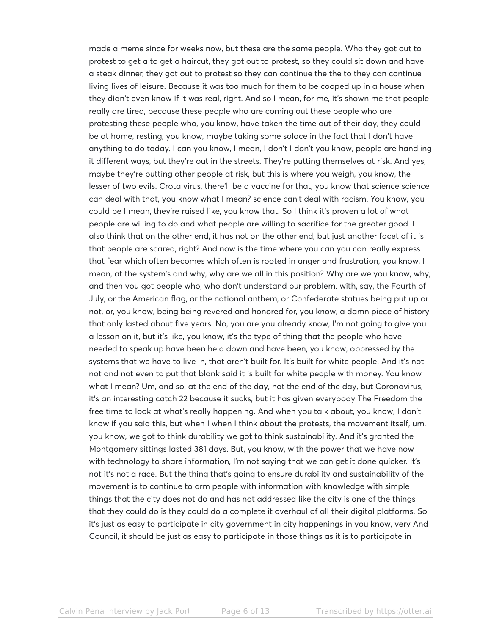made a meme since for weeks now, but these are the same people. Who they got out to protest to get a to get a haircut, they got out to protest, so they could sit down and have a steak dinner, they got out to protest so they can continue the the to they can continue living lives of leisure. Because it was too much for them to be cooped up in a house when they didn't even know if it was real, right. And so I mean, for me, it's shown me that people really are tired, because these people who are coming out these people who are protesting these people who, you know, have taken the time out of their day, they could be at home, resting, you know, maybe taking some solace in the fact that I don't have anything to do today. I can you know, I mean, I don't I don't you know, people are handling it different ways, but they're out in the streets. They're putting themselves at risk. And yes, maybe they're putting other people at risk, but this is where you weigh, you know, the lesser of two evils. Crota virus, there'll be a vaccine for that, you know that science science can deal with that, you know what I mean? science can't deal with racism. You know, you could be I mean, they're raised like, you know that. So I think it's proven a lot of what people are willing to do and what people are willing to sacrifice for the greater good. I also think that on the other end, it has not on the other end, but just another facet of it is that people are scared, right? And now is the time where you can you can really express that fear which often becomes which often is rooted in anger and frustration, you know, I mean, at the system's and why, why are we all in this position? Why are we you know, why, and then you got people who, who don't understand our problem. with, say, the Fourth of July, or the American flag, or the national anthem, or Confederate statues being put up or not, or, you know, being being revered and honored for, you know, a damn piece of history that only lasted about five years. No, you are you already know, I'm not going to give you a lesson on it, but it's like, you know, it's the type of thing that the people who have needed to speak up have been held down and have been, you know, oppressed by the systems that we have to live in, that aren't built for. It's built for white people. And it's not not and not even to put that blank said it is built for white people with money. You know what I mean? Um, and so, at the end of the day, not the end of the day, but Coronavirus, it's an interesting catch 22 because it sucks, but it has given everybody The Freedom the free time to look at what's really happening. And when you talk about, you know, I don't know if you said this, but when I when I think about the protests, the movement itself, um, you know, we got to think durability we got to think sustainability. And it's granted the Montgomery sittings lasted 381 days. But, you know, with the power that we have now with technology to share information, I'm not saying that we can get it done quicker. It's not it's not a race. But the thing that's going to ensure durability and sustainability of the movement is to continue to arm people with information with knowledge with simple things that the city does not do and has not addressed like the city is one of the things that they could do is they could do a complete it overhaul of all their digital platforms. So it's just as easy to participate in city government in city happenings in you know, very And Council, it should be just as easy to participate in those things as it is to participate in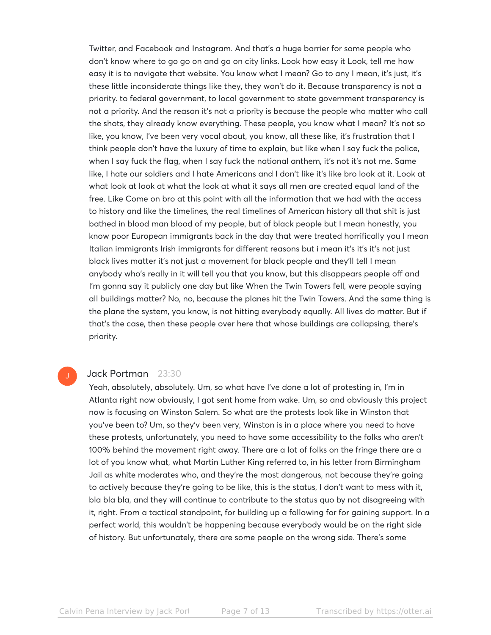Twitter, and Facebook and Instagram. And that's a huge barrier for some people who don't know where to go go on and go on city links. Look how easy it Look, tell me how easy it is to navigate that website. You know what I mean? Go to any I mean, it's just, it's these little inconsiderate things like they, they won't do it. Because transparency is not a priority. to federal government, to local government to state government transparency is not a priority. And the reason it's not a priority is because the people who matter who call the shots, they already know everything. These people, you know what I mean? It's not so like, you know, I've been very vocal about, you know, all these like, it's frustration that I think people don't have the luxury of time to explain, but like when I say fuck the police, when I say fuck the flag, when I say fuck the national anthem, it's not it's not me. Same like, I hate our soldiers and I hate Americans and I don't like it's like bro look at it. Look at what look at look at what the look at what it says all men are created equal land of the free. Like Come on bro at this point with all the information that we had with the access to history and like the timelines, the real timelines of American history all that shit is just bathed in blood man blood of my people, but of black people but I mean honestly, you know poor European immigrants back in the day that were treated horrifically you I mean Italian immigrants Irish immigrants for different reasons but i mean it's it's it's not just black lives matter it's not just a movement for black people and they'll tell I mean anybody who's really in it will tell you that you know, but this disappears people off and I'm gonna say it publicly one day but like When the Twin Towers fell, were people saying all buildings matter? No, no, because the planes hit the Twin Towers. And the same thing is the plane the system, you know, is not hitting everybody equally. All lives do matter. But if that's the case, then these people over here that whose buildings are collapsing, there's priority.

#### Jack Portman 23:30

Yeah, absolutely, absolutely. Um, so what have I've done a lot of protesting in, I'm in Atlanta right now obviously, I got sent home from wake. Um, so and obviously this project now is focusing on Winston Salem. So what are the protests look like in Winston that you've been to? Um, so they'v been very, Winston is in a place where you need to have these protests, unfortunately, you need to have some accessibility to the folks who aren't 100% behind the movement right away. There are a lot of folks on the fringe there are a lot of you know what, what Martin Luther King referred to, in his letter from Birmingham Jail as white moderates who, and they're the most dangerous, not because they're going to actively because they're going to be like, this is the status, I don't want to mess with it, bla bla bla, and they will continue to contribute to the status quo by not disagreeing with it, right. From a tactical standpoint, for building up a following for for gaining support. In a perfect world, this wouldn't be happening because everybody would be on the right side of history. But unfortunately, there are some people on the wrong side. There's some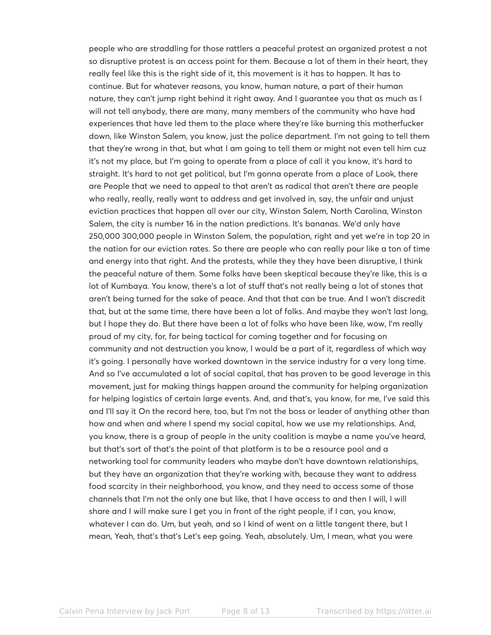people who are straddling for those rattlers a peaceful protest an organized protest a not so disruptive protest is an access point for them. Because a lot of them in their heart, they really feel like this is the right side of it, this movement is it has to happen. It has to continue. But for whatever reasons, you know, human nature, a part of their human nature, they can't jump right behind it right away. And I guarantee you that as much as I will not tell anybody, there are many, many members of the community who have had experiences that have led them to the place where they're like burning this motherfucker down, like Winston Salem, you know, just the police department. I'm not going to tell them that they're wrong in that, but what I am going to tell them or might not even tell him cuz it's not my place, but I'm going to operate from a place of call it you know, it's hard to straight. It's hard to not get political, but I'm gonna operate from a place of Look, there are People that we need to appeal to that aren't as radical that aren't there are people who really, really, really want to address and get involved in, say, the unfair and unjust eviction practices that happen all over our city, Winston Salem, North Carolina, Winston Salem, the city is number 16 in the nation predictions. It's bananas. We'd only have 250,000 300,000 people in Winston Salem, the population, right and yet we're in top 20 in the nation for our eviction rates. So there are people who can really pour like a ton of time and energy into that right. And the protests, while they they have been disruptive, I think the peaceful nature of them. Some folks have been skeptical because they're like, this is a lot of Kumbaya. You know, there's a lot of stuff that's not really being a lot of stones that aren't being turned for the sake of peace. And that that can be true. And I won't discredit that, but at the same time, there have been a lot of folks. And maybe they won't last long, but I hope they do. But there have been a lot of folks who have been like, wow, I'm really proud of my city, for, for being tactical for coming together and for focusing on community and not destruction you know, I would be a part of it, regardless of which way it's going. I personally have worked downtown in the service industry for a very long time. And so I've accumulated a lot of social capital, that has proven to be good leverage in this movement, just for making things happen around the community for helping organization for helping logistics of certain large events. And, and that's, you know, for me, I've said this and I'll say it On the record here, too, but I'm not the boss or leader of anything other than how and when and where I spend my social capital, how we use my relationships. And, you know, there is a group of people in the unity coalition is maybe a name you've heard, but that's sort of that's the point of that platform is to be a resource pool and a networking tool for community leaders who maybe don't have downtown relationships, but they have an organization that they're working with, because they want to address food scarcity in their neighborhood, you know, and they need to access some of those channels that I'm not the only one but like, that I have access to and then I will, I will share and I will make sure I get you in front of the right people, if I can, you know, whatever I can do. Um, but yeah, and so I kind of went on a little tangent there, but I mean, Yeah, that's that's Let's eep going. Yeah, absolutely. Um, I mean, what you were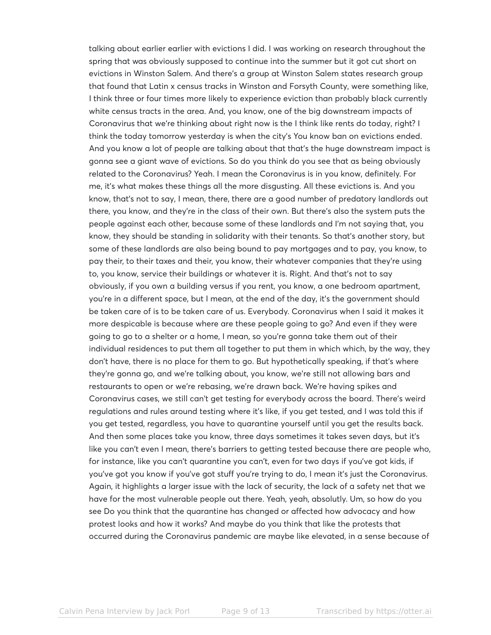talking about earlier earlier with evictions I did. I was working on research throughout the spring that was obviously supposed to continue into the summer but it got cut short on evictions in Winston Salem. And there's a group at Winston Salem states research group that found that Latin x census tracks in Winston and Forsyth County, were something like, I think three or four times more likely to experience eviction than probably black currently white census tracts in the area. And, you know, one of the big downstream impacts of Coronavirus that we're thinking about right now is the I think like rents do today, right? I think the today tomorrow yesterday is when the city's You know ban on evictions ended. And you know a lot of people are talking about that that's the huge downstream impact is gonna see a giant wave of evictions. So do you think do you see that as being obviously related to the Coronavirus? Yeah. I mean the Coronavirus is in you know, definitely. For me, it's what makes these things all the more disgusting. All these evictions is. And you know, that's not to say, I mean, there, there are a good number of predatory landlords out there, you know, and they're in the class of their own. But there's also the system puts the people against each other, because some of these landlords and I'm not saying that, you know, they should be standing in solidarity with their tenants. So that's another story, but some of these landlords are also being bound to pay mortgages and to pay, you know, to pay their, to their taxes and their, you know, their whatever companies that they're using to, you know, service their buildings or whatever it is. Right. And that's not to say obviously, if you own a building versus if you rent, you know, a one bedroom apartment, you're in a different space, but I mean, at the end of the day, it's the government should be taken care of is to be taken care of us. Everybody. Coronavirus when I said it makes it more despicable is because where are these people going to go? And even if they were going to go to a shelter or a home, I mean, so you're gonna take them out of their individual residences to put them all together to put them in which which, by the way, they don't have, there is no place for them to go. But hypothetically speaking, if that's where they're gonna go, and we're talking about, you know, we're still not allowing bars and restaurants to open or we're rebasing, we're drawn back. We're having spikes and Coronavirus cases, we still can't get testing for everybody across the board. There's weird regulations and rules around testing where it's like, if you get tested, and I was told this if you get tested, regardless, you have to quarantine yourself until you get the results back. And then some places take you know, three days sometimes it takes seven days, but it's like you can't even I mean, there's barriers to getting tested because there are people who, for instance, like you can't quarantine you can't, even for two days if you've got kids, if you've got you know if you've got stuff you're trying to do, I mean it's just the Coronavirus. Again, it highlights a larger issue with the lack of security, the lack of a safety net that we have for the most vulnerable people out there. Yeah, yeah, absolutly. Um, so how do you see Do you think that the quarantine has changed or affected how advocacy and how protest looks and how it works? And maybe do you think that like the protests that occurred during the Coronavirus pandemic are maybe like elevated, in a sense because of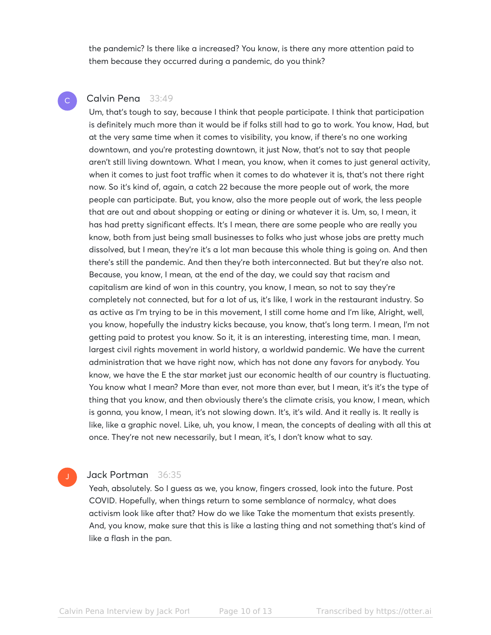the pandemic? Is there like a increased? You know, is there any more attention paid to them because they occurred during a pandemic, do you think?

### Calvin Pena 33:49

 $\mathsf{C}^+$ 

Um, that's tough to say, because I think that people participate. I think that participation is definitely much more than it would be if folks still had to go to work. You know, Had, but at the very same time when it comes to visibility, you know, if there's no one working downtown, and you're protesting downtown, it just Now, that's not to say that people aren't still living downtown. What I mean, you know, when it comes to just general activity, when it comes to just foot traffic when it comes to do whatever it is, that's not there right now. So it's kind of, again, a catch 22 because the more people out of work, the more people can participate. But, you know, also the more people out of work, the less people that are out and about shopping or eating or dining or whatever it is. Um, so, I mean, it has had pretty significant effects. It's I mean, there are some people who are really you know, both from just being small businesses to folks who just whose jobs are pretty much dissolved, but I mean, they're it's a lot man because this whole thing is going on. And then there's still the pandemic. And then they're both interconnected. But but they're also not. Because, you know, I mean, at the end of the day, we could say that racism and capitalism are kind of won in this country, you know, I mean, so not to say they're completely not connected, but for a lot of us, it's like, I work in the restaurant industry. So as active as I'm trying to be in this movement, I still come home and I'm like, Alright, well, you know, hopefully the industry kicks because, you know, that's long term. I mean, I'm not getting paid to protest you know. So it, it is an interesting, interesting time, man. I mean, largest civil rights movement in world history, a worldwid pandemic. We have the current administration that we have right now, which has not done any favors for anybody. You know, we have the E the star market just our economic health of our country is fluctuating. You know what I mean? More than ever, not more than ever, but I mean, it's it's the type of thing that you know, and then obviously there's the climate crisis, you know, I mean, which is gonna, you know, I mean, it's not slowing down. It's, it's wild. And it really is. It really is like, like a graphic novel. Like, uh, you know, I mean, the concepts of dealing with all this at once. They're not new necessarily, but I mean, it's, I don't know what to say.

#### Jack Portman 36:35

Yeah, absolutely. So I guess as we, you know, fingers crossed, look into the future. Post COVID. Hopefully, when things return to some semblance of normalcy, what does activism look like after that? How do we like Take the momentum that exists presently. And, you know, make sure that this is like a lasting thing and not something that's kind of like a flash in the pan.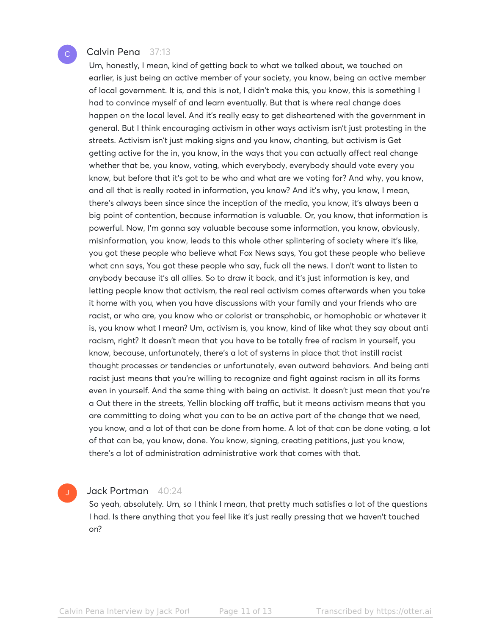#### Calvin Pena 37:13

 $\mathsf{C}^+$ 

Um, honestly, I mean, kind of getting back to what we talked about, we touched on earlier, is just being an active member of your society, you know, being an active member of local government. It is, and this is not, I didn't make this, you know, this is something I had to convince myself of and learn eventually. But that is where real change does happen on the local level. And it's really easy to get disheartened with the government in general. But I think encouraging activism in other ways activism isn't just protesting in the streets. Activism isn't just making signs and you know, chanting, but activism is Get getting active for the in, you know, in the ways that you can actually affect real change whether that be, you know, voting, which everybody, everybody should vote every you know, but before that it's got to be who and what are we voting for? And why, you know, and all that is really rooted in information, you know? And it's why, you know, I mean, there's always been since since the inception of the media, you know, it's always been a big point of contention, because information is valuable. Or, you know, that information is powerful. Now, I'm gonna say valuable because some information, you know, obviously, misinformation, you know, leads to this whole other splintering of society where it's like, you got these people who believe what Fox News says, You got these people who believe what cnn says, You got these people who say, fuck all the news. I don't want to listen to anybody because it's all allies. So to draw it back, and it's just information is key, and letting people know that activism, the real real activism comes afterwards when you take it home with you, when you have discussions with your family and your friends who are racist, or who are, you know who or colorist or transphobic, or homophobic or whatever it is, you know what I mean? Um, activism is, you know, kind of like what they say about anti racism, right? It doesn't mean that you have to be totally free of racism in yourself, you know, because, unfortunately, there's a lot of systems in place that that instill racist thought processes or tendencies or unfortunately, even outward behaviors. And being anti racist just means that you're willing to recognize and fight against racism in all its forms even in yourself. And the same thing with being an activist. It doesn't just mean that you're a Out there in the streets, Yellin blocking off traffic, but it means activism means that you are committing to doing what you can to be an active part of the change that we need, you know, and a lot of that can be done from home. A lot of that can be done voting, a lot of that can be, you know, done. You know, signing, creating petitions, just you know, there's a lot of administration administrative work that comes with that.

#### Jack Portman 40:24

So yeah, absolutely. Um, so I think I mean, that pretty much satisfies a lot of the questions I had. Is there anything that you feel like it's just really pressing that we haven't touched on?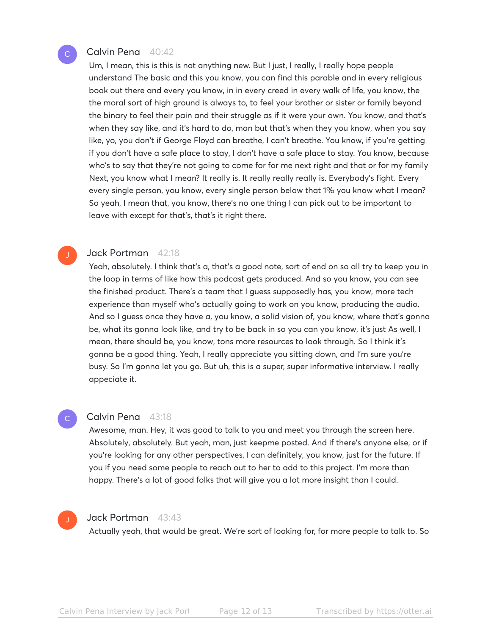### Calvin Pena 40:42

 $\mathsf{C}^+$ 

Um, I mean, this is this is not anything new. But I just, I really, I really hope people understand The basic and this you know, you can find this parable and in every religious book out there and every you know, in in every creed in every walk of life, you know, the the moral sort of high ground is always to, to feel your brother or sister or family beyond the binary to feel their pain and their struggle as if it were your own. You know, and that's when they say like, and it's hard to do, man but that's when they you know, when you say like, yo, you don't if George Floyd can breathe, I can't breathe. You know, if you're getting if you don't have a safe place to stay, I don't have a safe place to stay. You know, because who's to say that they're not going to come for for me next right and that or for my family Next, you know what I mean? It really is. It really really really is. Everybody's fight. Every every single person, you know, every single person below that 1% you know what I mean? So yeah, I mean that, you know, there's no one thing I can pick out to be important to leave with except for that's, that's it right there.

#### Jack Portman 42:18

Yeah, absolutely. I think that's a, that's a good note, sort of end on so all try to keep you in the loop in terms of like how this podcast gets produced. And so you know, you can see the finished product. There's a team that I guess supposedly has, you know, more tech experience than myself who's actually going to work on you know, producing the audio. And so I guess once they have a, you know, a solid vision of, you know, where that's gonna be, what its gonna look like, and try to be back in so you can you know, it's just As well, I mean, there should be, you know, tons more resources to look through. So I think it's gonna be a good thing. Yeah, I really appreciate you sitting down, and I'm sure you're busy. So I'm gonna let you go. But uh, this is a super, super informative interview. I really appeciate it.

### $\mathsf{C}^+$

#### Calvin Pena 43:18

Awesome, man. Hey, it was good to talk to you and meet you through the screen here. Absolutely, absolutely. But yeah, man, just keepme posted. And if there's anyone else, or if you're looking for any other perspectives, I can definitely, you know, just for the future. If you if you need some people to reach out to her to add to this project. I'm more than happy. There's a lot of good folks that will give you a lot more insight than I could.

#### Jack Portman 43:43

Actually yeah, that would be great. We're sort of looking for, for more people to talk to. So